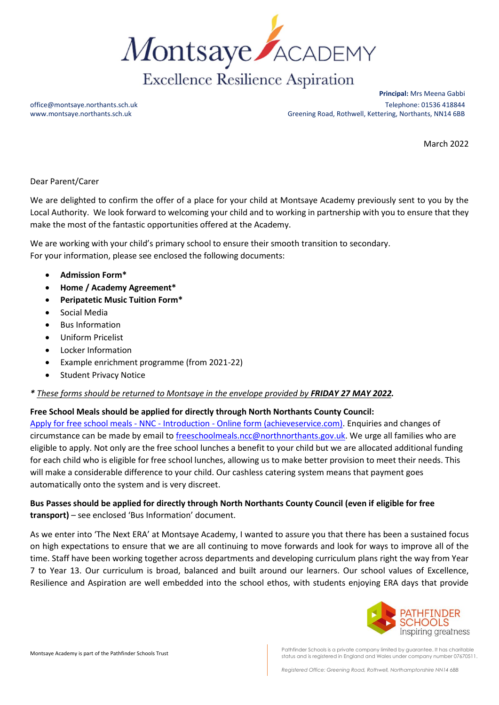

**Principal:** Mrs Meena Gabbi office@montsaye.northants.sch.uk Telephone: 01536 418844 www.montsaye.northants.sch.uk external Greening Road, Rothwell, Kettering, Northants, NN14 6BB

March 2022

## Dear Parent/Carer

We are delighted to confirm the offer of a place for your child at Montsaye Academy previously sent to you by the Local Authority. We look forward to welcoming your child and to working in partnership with you to ensure that they make the most of the fantastic opportunities offered at the Academy.

We are working with your child's primary school to ensure their smooth transition to secondary. For your information, please see enclosed the following documents:

- **Admission Form\***
- **Home / Academy Agreement\***
- **Peripatetic Music Tuition Form\***
- Social Media
- Bus Information
- Uniform Pricelist
- Locker Information
- Example enrichment programme (from 2021-22)
- **Student Privacy Notice**

## *\* These forms should be returned to Montsaye in the envelope provided by FRIDAY 27 MAY 2022.*

## **Free School Meals should be applied for directly through North Northants County Council:**

Apply for free school meals - NNC - Introduction - [Online form \(achieveservice.com\).](https://northamptonshire-self.achieveservice.com/service/Apply_for_free_school_meals___NNC) Enquiries and changes of circumstance can be made by email to [freeschoolmeals.ncc@northnorthants.gov.uk.](mailto:freeschoolmeals.ncc@northnorthants.gov.uk) We urge all families who are eligible to apply. Not only are the free school lunches a benefit to your child but we are allocated additional funding for each child who is eligible for free school lunches, allowing us to make better provision to meet their needs. This will make a considerable difference to your child. Our cashless catering system means that payment goes automatically onto the system and is very discreet.

## **Bus Passes should be applied for directly through North Northants County Council (even if eligible for free transport)** – see enclosed 'Bus Information' document.

As we enter into 'The Next ERA' at Montsaye Academy, I wanted to assure you that there has been a sustained focus on high expectations to ensure that we are all continuing to move forwards and look for ways to improve all of the time. Staff have been working together across departments and developing curriculum plans right the way from Year 7 to Year 13. Our curriculum is broad, balanced and built around our learners. Our school values of Excellence, Resilience and Aspiration are well embedded into the school ethos, with students enjoying ERA days that provide



Montsaye Academy is part of the Pathfinder Schools Trust Pathen and is a private company limited by guarantee. It has charitable status and is registered in England and Wales under company number 07670511.